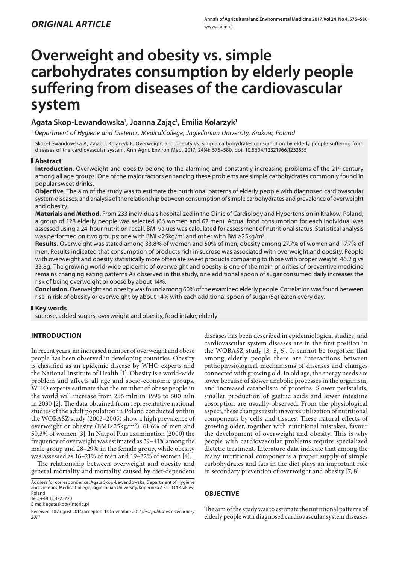# **Overweight and obesity vs. simple carbohydrates consumption by elderly people suffering from diseases of the cardiovascular system**

## **Agata Skop-Lewandowska1 , Joanna Zając1 , Emilia Kolarzyk1**

<sup>1</sup> *Department of Hygiene and Dietetics, MedicalCollege, Jagiellonian University, Krakow, Poland*

Skop-Lewandowska A, Zając J, Kolarzyk E. Overweight and obesity vs. simple carbohydrates consumption by elderly people suffering from diseases of the cardiovascular system. Ann Agric Environ Med. 2017; 24(4): 575–580. doi: 10.5604/12321966.1233555

## **Abstract**

**Introduction**. Overweight and obesity belong to the alarming and constantly increasing problems of the 21<sup>st</sup> century among all age groups. One of the major factors enhancing these problems are simple carbohydrates commonly found in popular sweet drinks.

**Objective**. The aim of the study was to estimate the nutritional patterns of elderly people with diagnosed cardiovascular system diseases, and analysis of the relationship between consumption of simple carbohydrates and prevalence of overweight and obesity.

**Materials and Method.** From 233 individuals hospitalized in the Clinic of Cardiology and Hypertension in Krakow, Poland, a group of 128 elderly people was selected (66 women and 62 men). Actual food consumption for each individual was assessed using a 24-hour nutrition recall. BMI values was calculated for assessment of nutritional status. Statistical analysis was performed on two groups: one with BMI <25kg/m² and other with BMI≥25kg/m².

**Results.** Overweight was stated among 33.8% of women and 50% of men, obesity among 27.7% of women and 17.7% of men. Results indicated that consumption of products rich in sucrose was associated with overweight and obesity. People with overweight and obesity statistically more often ate sweet products comparing to those with proper weight: 46.2 g vs 33.8g. The growing world-wide epidemic of overweight and obesity is one of the main priorities of preventive medicine remains changing eating patterns As observed in this study, one additional spoon of sugar consumed daily increases the risk of being overweight or obese by about 14%.

**Conclusion.** Overweight and obesity was found among 60% of the examined elderly people. Correlation was found between rise in risk of obesity or overweight by about 14% with each additional spoon of sugar (5g) eaten every day.

## **Key words**

sucrose, added sugars, overweight and obesity, food intake, elderly

## **INTRODUCTION**

In recent years, an increased number of overweight and obese people has been observed in developing countries. Obesity is classified as an epidemic disease by WHO experts and the National Institute of Health [1]. Obesity is a world-wide problem and affects all age and socio-economic groups. WHO experts estimate that the number of obese people in the world will increase from 256 mln in 1996 to 600 mln in 2030 [2]. The data obtained from representative national studies of the adult population in Poland conducted within the WOBASZ study (2003–2005) show a high prevalence of overweight or obesity (BMI≥25kg/m2 ): 61.6% of men and 50.3% of women [3]. In Natpol Plus examination (2000) the frequency of overweight was estimated as 39–41% among the male group and 28–29% in the female group, while obesity was assessed as 16–21% of men and 19–22% of women [4].

The relationship between overweight and obesity and general mortality and mortality caused by diet-dependent

Tel.: +48 12 4223720

E-mail: [agataskop@interia.pl](mailto:agataskop@interia.pl)

diseases has been described in epidemiological studies, and cardiovascular system diseases are in the first position in the WOBASZ study [3, 5, 6]. It cannot be forgotten that among elderly people there are interactions between pathophysiological mechanisms of diseases and changes connected with growing old. In old age, the energy needs are lower because of slower anabolic processes in the organism, and increased catabolism of proteins. Slower peristalsis, smaller production of gastric acids and lower intestine absorption are usually observed. From the physiological aspect, these changes result in worse utilization of nutritional components by cells and tissues. These natural effects of growing older, together with nutritional mistakes, favour the development of overweight and obesity. This is why people with cardiovascular problems require specialized dietetic treatment. Literature data indicate that among the many nutritional components a proper supply of simple carbohydrates and fats in the diet plays an important role in secondary prevention of overweight and obesity [7, 8].

## **OBJECTIVE**

The aim of the study was to estimate the nutritional patterns of elderly people with diagnosed cardiovascular system diseases

Address for correspondence: Agata Skop-Lewandowska, Department of Hygiene and Dietetics, MedicalCollege, Jagiellonian University, Kopernika 7, 31–034 Krakow, Poland

Received: 18 August 2014; accepted: 14 November 2014; *first published on February 2017*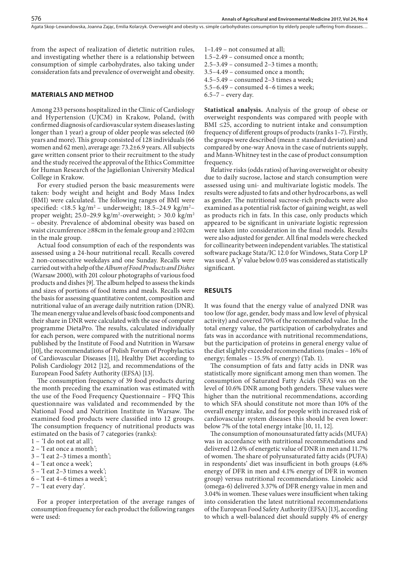from the aspect of realization of dietetic nutrition rules, and investigating whether there is a relationship between consumption of simple carbohydrates, also taking under consideration fats and prevalence of overweight and obesity.

#### **MATERIALS AND METHOD**

Among 233 persons hospitalized in the Clinic of Cardiology and Hypertension (UJCM) in Krakow, Poland, (with confirmed diagnosis of cardiovascular system diseases lasting longer than 1 year) a group of older people was selected (60 years and more). This group consisted of 128 individuals (66 women and 62 men), average age: 73.2±6.9 years. All subjects gave written consent prior to their recruitment to the study and the study received the approval of the Ethics Committee for Human Research of the Jagiellonian University Medical College in Krakow.

For every studied person the basic measurements were taken: body weight and height and Body Mass Index (BMI) were calculated. The following ranges of BMI were specified: <18.5 kg/m² – underweight; 18.5–24.9 kg/m²– proper weight; 25.0–29.9 kg/m²-overweight; > 30.0 kg/m² – obesity. Prevalence of abdominal obesity was based on waist circumference ≥88cm in the female group and ≥102cm in the male group.

Actual food consumption of each of the respondents was assessed using a 24-hour nutritional recall. Recalls covered 2 non-consecutive weekdays and one Sunday. Recalls were carried out with a help of the *Album of Food Products and Dishes* (Warsaw 2000), with 201 colour photographs of various food products and dishes [9]. The album helped to assess the kinds and sizes of portions of food items and meals. Recalls were the basis for assessing quantitative content, composition and nutritional value of an average daily nutrition ration (DNR). The mean energy value and levels of basic food components and their share in DNR were calculated with the use of computer programme DietaPro. The results, calculated individually for each person, were compared with the nutritional norms published by the Institute of Food and Nutrition in Warsaw [10], the recommendations of Polish Forum of Prophylactics of Cardiovascular Diseases [11], Healthy Diet according to Polish Cardiology 2012 [12], and recommendations of the European Food Safety Authority (EFSA) [13].

The consumption frequency of 39 food products during the month preceding the examination was estimated with the use of the Food Frequency Questionnaire – FFQ This questionnaire was validated and recommended by the National Food and Nutrition Institute in Warsaw. The examined food products were classified into 12 groups. The consumption frequency of nutritional products was estimated on the basis of 7 categories (ranks):

- 1 'I do not eat at all';
- 2 'I eat once a month';
- 3 'I eat 2–3 times a month';
- 4 'I eat once a week';
- 5 'I eat 2–3 times a week';
- 6 'I eat 4–6 times a week';
- 7 'I eat every day'.

For a proper interpretation of the average ranges of consumption frequency for each product the following ranges were used:

1–1.49 – not consumed at all; 1.5–2.49 – consumed once a month; 2.5–3.49 – consumed 2–3 times a month; 3.5–4.49 – consumed once a month; 4.5–5.49 – consumed 2–3 times a week; 5.5–6.49 – consumed 4–6 times a week; 6.5–7 – every day.

**Statistical analysis.** Analysis of the group of obese or overweight respondents was compared with people with BMI  $\leq$ 25, according to nutrient intake and consumption frequency of different groups of products (ranks 1–7). Firstly, the groups were described (mean  $\pm$  standard deviation) and compared by one-way Anova in the case of nutrients supply, and Mann-Whitney test in the case of product consumption frequency.

Relative risks (odds ratios) of having overweight or obesity due to daily sucrose, lactose and starch consumption were assessed using uni- and multivariate logistic models. The results were adjusted to fats and other hydrocarbons, as well as gender. The nutritional sucrose-rich products were also examined as a potential risk factor of gaining weight, as well as products rich in fats. In this case, only products which appeared to be significant in univariate logistic regression were taken into consideration in the final models. Results were also adjusted for gender. All final models were checked for collinearity between independent variables. The statistical software package Stata/IC 12.0 for Windows, Stata Corp LP was used. A 'p' value below 0.05 was considered as statistically significant.

#### **RESULTS**

It was found that the energy value of analyzed DNR was too low (for age, gender, body mass and low level of physical activity) and covered 70% of the recommended value. In the total energy value, the participation of carbohydrates and fats was in accordance with nutritional recommendations, but the participation of proteins in general energy value of the diet slightly exceeded recommendations (males – 16% of energy; females – 15.5% of energy) (Tab. 1).

The consumption of fats and fatty acids in DNR was statistically more significant among men than women. The consumption of Saturated Fatty Acids (SFA) was on the level of 10.6% DNR among both genders. These values were higher than the nutritional recommendations, according to which SFA should constitute not more than 10% of the overall energy intake, and for people with increased risk of cardiovascular system diseases this should be even lower: below 7% of the total energy intake [10, 11, 12].

The consumption of monounsaturated fatty acids (MUFA) was in accordance with nutritional recommendations and delivered 12.6% of energetic value of DNR in men and 11.7% of women. The share of polyunsaturated fatty acids (PUFA) in respondents' diet was insufficient in both groups (4.6% energy of DFR in men and 4.1% energy of DFR in women group) versus nutritional recommendations. Linoleic acid (omega-6) delivered 3.37% of DFR energy value in men and 3.04% in women. These values were insufficient when taking into consideration the latest nutritional recommendations of the European Food Safety Authority (EFSA) [13], according to which a well-balanced diet should supply 4% of energy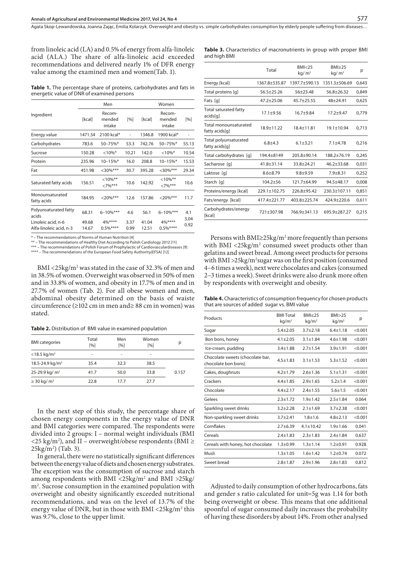from linoleic acid (LA) and 0.5% of energy from alfa-linoleic acid (ALA.) The share of alfa-linoleic acid exceeded recommendations and delivered nearly 1% of DFR energy value among the examined men and women(Tab. 1).

**Table 1.** The percentage share of proteins, carbohydrates and fats in energetic value of DNR of examined persons

|                                               |                | Men                        | Women        |                |                            |             |
|-----------------------------------------------|----------------|----------------------------|--------------|----------------|----------------------------|-------------|
| Ingredient                                    | [kcal]         | Recom-<br>mended<br>intake | [%]          | [kcal]         | Recom-<br>mended<br>intake | [%]         |
| Energy value                                  | 1471.54        | 2100 kcal*                 |              | 1346.8         | 1900 kcal*                 |             |
| Carbohydrates                                 | 783.6          | 50-75%*                    | 53.3         | 742.76         | 50-75%*                    | 55.13       |
| Sucrose                                       | 150.28         | $< 10\%$ *                 | 10.21        | 142.0          | $< 10\%$ *                 | 10.54       |
| Protein                                       | 235.96         | $10 - 15%$                 | 16.0         | 208.8          | $10 - 15%$                 | 15.53       |
| Fat                                           | 451.98         | $<30\%$ ***                | 30.7         | 395.28         | $<30\%$ ***                | 29.34       |
| Saturated fatty acids                         | 156.51         | $<10\%$ **<br>$<7\%***$    | 10.6         | 142.92         | $<10\%$ **<br>$<7\%***$    | 10.6        |
| Monounsaturated<br>fatty acids                | 184.95         | $< 20\%$ ***               | 12.6         | 157.86         | $< 20\%$ ***               | 11.7        |
| Polyunsaturated fatty<br>acids                | 68.31          | $6 - 10\%$ ***             | 4.6          | 56.1           | $6 - 10\%$ ***             | 4.1<br>3.04 |
| Linoleic acid, n-6<br>Alfa-linoleic acid, n-3 | 49.68<br>14.67 | $4\%***$<br>$0.5\%$ ****   | 3.37<br>0.99 | 41.04<br>12.51 | 4%****<br>$0.5\%$ ****     | 0.92        |

\* – The recommendations of Norms of Human Nutrition [4]

\*\*\*\* – The recommendations of the European Food Safety Authority(EFSA) [12]

BMI <25kg/m<sup>2</sup> was stated in the case of 32.3% of men and in 38.5% of women. Overweight was observed in 50% of men and in 33.8% of women, and obesity in 17.7% of men and in 27.7% of women (Tab. 2). For all obese women and men, abdominal obesity determined on the basis of waiste circumference (≥102 cm in men and≥ 88 cm in women) was stated.

**Table 2.** Distribution of BMI value in examined population

| <b>BMI</b> categories        | Total<br>[%] | Men<br>[%] | Women<br>[%] | р     |
|------------------------------|--------------|------------|--------------|-------|
| $<$ 18.5 kg/m <sup>2</sup>   | ۰            | ۰          | ۰            |       |
| 18.5-24.9 kg/m <sup>2</sup>  | 35.4         | 32.3       | 38.5         |       |
| 25-29.9 kg/ m <sup>2</sup>   | 41.7         | 50.0       | 33.8         | 0.157 |
| $\geq$ 30 kg/ m <sup>2</sup> | 22.8         | 17.7       | 27.7         |       |

In the next step of this study, the percentage share of chosen energy components in the energy value of DNR and BMI categories were compared. The respondents were divided into 2 groups: I – normal weight individuals (BMI  $\langle 25 \text{ kg/m}^2 \rangle$ , and II – overweight/obese respondents (BMI  $\ge$ 25kg/m2 ) (Tab. 3).

In general, there were no statistically significant differences between the energy value of diets and chosen energy substrates. The exception was the consumption of sucrose and starch among respondents with BMI <25kg/m<sup>2</sup> and BMI >25kg/ m2 . Sucrose consumption in the examined population with overweight and obesity significantly exceeded nutritional recommendations, and was on the level of 13.7% of the energy value of DNR, but in those with BMI <25kg/m<sup>2</sup> this was 9.7%, close to the upper limit.

**Table 3.** Characteristics of macronutrients in group with proper BMI and high BMI

| Total            | BMI < 25<br>$kq/m^2$ | <b>BMI&gt;25</b><br>kg/m <sup>2</sup> | р     |
|------------------|----------------------|---------------------------------------|-------|
| 1367.8±535.87    | 1397.7±590.13        | 1351.3±506.69                         | 0,643 |
| $56.5 + 25.26$   | $56 + 23.48$         | $56.8 + 26.32$                        | 0,849 |
| $47.2 \pm 25.06$ | 45.7±25.55           | $48 + 24.91$                          | 0,625 |
| $17.1 + 9.56$    | $16.7 + 9.84$        | $17.2 + 9.47$                         | 0,779 |
| $18.9 + 11.22$   | $18.4 + 11.81$       | 19.1±10.94                            | 0,713 |
| $6.8 + 4.3$      | $6.1 + 3.21$         | $7.1 + 4.78$                          | 0,216 |
| 194.4±8149       | $205.8 + 90.14$      | $188.2 + 76.19$                       | 0,245 |
| $41.8 + 31.14$   | $33.8 + 24.21$       | $46.2 + 33.68$                        | 0,031 |
| $8.6 + 8.79$     | $9.8 + 9.59$         | $7.9 + 8.31$                          | 0,252 |
| $104.2 + 56$     | $121.7 + 64.99$      | $94.5 + 48.17$                        | 0,008 |
| $229.1 + 102.75$ | $226.8 + 95.42$      | $230.3 + 107.11$                      | 0,851 |
| 417.4±221.77     | 403.8+225.74         | 424.9±220.6                           | 0,611 |
| 721+307.98       | 766.9+341.13         | 695.9±287.27                          | 0,215 |
|                  |                      |                                       |       |

Persons with  $\text{BMI} \geq 25 \text{kg/m}^2$  more frequently than persons with BMI  $\langle 25\text{kg/m}^2 \rangle$  consumed sweet products other than gelatins and sweet bread. Among sweet products for persons with BMI >25kg/m<sup>2</sup>sugar was on the first position (consumed 4–6 times a week), next were chocolates and cakes (consumed 2–3 times a week). Sweet drinks were also drunk more often by respondents with overweight and obesity.

**Table 4.** Characteristics of consumption frequency for chosen products that are sources of added sugar vs. BMI value

| Products                                                | <b>BMI Total</b><br><b>BMI&lt;25</b><br>kg/m <sup>2</sup><br>kg/m <sup>2</sup> |                 | BMI > 25<br>kg/m <sup>2</sup> | р       |  |
|---------------------------------------------------------|--------------------------------------------------------------------------------|-----------------|-------------------------------|---------|--|
| Sugar                                                   | $5.4 \pm 2.05$                                                                 | $3.7 + 2.18$    | $6.4 + 1.18$                  | < 0.001 |  |
| Bon bons, honey                                         | $4.1 + 2.05$                                                                   | $3.1 + 1.84$    | $4.6 + 1.98$                  | < 0.001 |  |
| Ice-cream, pudding                                      | $3.4 \pm 1.88$                                                                 | $2.7 + 1.54$    | $3.9 + 1.91$                  | < 0.001 |  |
| Chocolate sweets (chocolate bar,<br>chocolate bon bons) | $4.5 + 1.83$                                                                   | $3.1 + 1.53$    | $5.3 + 1.52$                  | < 0.001 |  |
| Cakes, doughnuts                                        | $4.2 \pm 1.79$                                                                 | $2.6 \pm 1.36$  | $5.1 \pm 1.31$                | < 0.001 |  |
| Crackers                                                | $4.4 + 1.85$                                                                   | $2.9 + 1.65$    | $5.2 + 1.4$                   | < 0.001 |  |
| Chocolate                                               | $4.4 + 2.17$                                                                   | $2.4 + 1.55$    | $5.6 + 1.5$                   | < 0.001 |  |
| Gelees                                                  | $2.3 + 1.72$                                                                   | $1.9 + 1.42$    | $2.5 + 1.84$                  | 0.064   |  |
| Sparkling sweet drinks                                  | $3.2 + 2.28$                                                                   | $2.1 + 1.69$    | $3.7 + 2.38$                  | < 0.001 |  |
| Non-sparkling sweet drinks                              | $3.7 + 2.41$                                                                   | $1.8 + 1.6$     | $4.8 + 2.13$                  | < 0.001 |  |
| Cornflakes                                              | $2.7 + 6.39$                                                                   | $4.1 \pm 10.42$ | $1.9 + 1.66$                  | 0.041   |  |
| Cereals                                                 | $2.4 \pm 1.83$                                                                 | $2.3 + 1.83$    | $2.4 \pm 1.84$                | 0.637   |  |
| Cereals with honey, hot chocolate                       | $1.3 + 0.99$                                                                   | $1.3 + 1.14$    | $1.2 + 0.91$                  | 0.928   |  |
| Musli                                                   | $1.3 + 1.05$                                                                   | $1.6 + 1.42$    | $1.2 + 0.74$                  | 0.072   |  |
| Sweet bread                                             | $2.8 + 1.87$                                                                   | $2.9 + 1.96$    | $2.8 + 1.83$                  | 0.812   |  |

Adjusted to daily consumption of other hydrocarbons, fats and gender s ratio calculated for unit=5g was 1.14 for both being overweight or obese. This means that one additional spoonful of sugar consumed daily increases the probability of having these disorders by about 14%. From other analysed

<sup>-</sup> The recommendations of Healthy Diet According to Polish Cardiology 2012 [11] \*\*\* – The recommendations of Polish Forum of Prophylactic of Cardiovasculardiseases [9]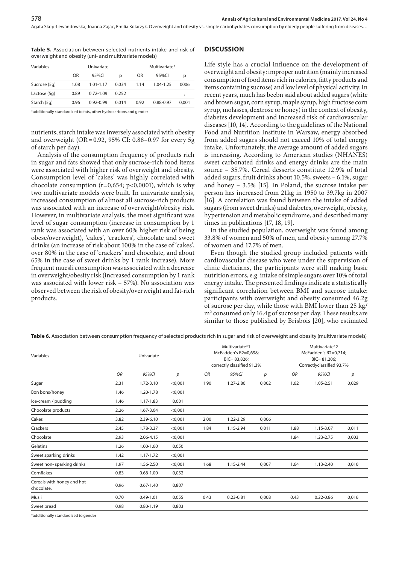| <b>Table 5.</b> Association between selected nutrients intake and risk of |  |  |  |  |
|---------------------------------------------------------------------------|--|--|--|--|
| overweight and obesity (uni- and multivariate models)                     |  |  |  |  |

| Variables    |      | Univariate    |       | Multivariate* |           |       |  |
|--------------|------|---------------|-------|---------------|-----------|-------|--|
|              | OR   | 95%CI         | D     | OR            | 95%CI     | р     |  |
| Sucrose (5q) | 1.08 | 1.01-1.17     | 0.034 | 1.14          | 1.04-1.25 | 0006  |  |
| Lactose (5g) | 0.89 | $0.72 - 1.09$ | 0.252 |               |           |       |  |
| Starch (5g)  | 0.96 | $0.92 - 0.99$ | 0.014 | 0.92          | 0.88-0.97 | 0.001 |  |

\*additionally standardized to fats, other hydrocarbons and gender

nutrients, starch intake was inversely associated with obesity and overweight (OR=0.92, 95% CI: 0.88–0.97 for every 5g of starch per day).

Analysis of the consumption frequency of products rich in sugar and fats showed that only sucrose-rich food items were associated with higher risk of overweight and obesity. Consumption level of 'cakes' was highly correlated with chocolate consumption  $(r=0.654; p<0.0001)$ , which is why two multivariate models were built. In univariate analysis, increased consumption of almost all sucrose-rich products was associated with an increase of overweight/obesity risk. However, in multivariate analysis, the most significant was level of sugar consumption (increase in consumption by 1 rank was associated with an over 60% higher risk of being obese/overweight), 'cakes', 'crackers', chocolate and sweet drinks (an increase of risk about 100% in the case of 'cakes', over 80% in the case of 'crackers' and chocolate, and about 65% in the case of sweet drinks by 1 rank increase). More frequent muesli consumption was associated with a decrease in overweight/obesity risk (increased consumption by 1 rank was associated with lower risk – 57%). No association was observed between the risk of obesity/overweight and fat-rich products.

#### **DISCUSSION**

Life style has a crucial influence on the development of overweight and obesity: improper nutrition (mainly increased consumption of food items rich in calories, fatty products and items containing sucrose) and low level of physical activity. In recent years, much has beebn said about added sugars (white and brown sugar, corn syrup, maple syrup, high fructose corn syrup, molasses, dextrose or honey) in the context of obesity, diabetes development and increased risk of cardiovascular diseases [10, 14]. According to the guidelines of the National Food and Nutrition Institute in Warsaw, energy absorbed from added sugars should not exceed 10% of total energy intake. Unfortunately, the average amount of added sugars is increasing. According to American studies (NHANES) sweet carbonated drinks and energy drinks are the main source – 35.7%. Cereal desserts constitute 12.9% of total added sugars, fruit drinks about 10.5%, sweets – 6.1%, sugar and honey – 3.5% [15]. In Poland, the sucrose intake per person has increased from 21kg in 1950 to 39.7kg in 2007 [16]. A correlation was found between the intake of added sugars (from sweet drinks) and diabetes, overweight, obesity, hypertension and metabolic syndrome, and described many times in publications [17, 18, 19].

In the studied population, overweight was found among 33.8% of women and 50% of men, and obesity among 27.7% of women and 17.7% of men.

Even though the studied group included patients with cardiovascular disease who were under the supervision of clinic dieticians, the participants were still making basic nutrition errors, e.g. intake of simple sugars over 10% of total energy intake. The presented findings indicate a statistically significant correlation between BMI and sucrose intake: participants with overweight and obesity consumed 46.2g of sucrose per day, while those with BMI lower than 25 kg/ m2 consumed only 16.4g of sucrose per day. These results are similar to those published by Brisbois [20], who estimated

**Table 6.** Association between consumption frequency of selected products rich in sugar and risk of overweight and obesity (multivariate models)

| Variables                                |           | Univariate    |         | Multivariate*1<br>McFadden's R2=0,698;<br>$BIC = 83,826;$<br>correctly classified 91.3% |               |       | Multivariate*2<br>McFadden's R2=0,714;<br>$BIC = 81,206;$<br>Correctlyclassified 93.7% |               |       |
|------------------------------------------|-----------|---------------|---------|-----------------------------------------------------------------------------------------|---------------|-------|----------------------------------------------------------------------------------------|---------------|-------|
|                                          | <b>OR</b> | 95%CI         | p       | OR                                                                                      | 95%CI         | p     | OR                                                                                     | 95%CI         | p     |
| Sugar                                    | 2,31      | 1.72-3.10     | < 0,001 | 1.90                                                                                    | 1.27-2.86     | 0,002 | 1.62                                                                                   | 1.05-2.51     | 0,029 |
| Bon bons/honey                           | 1.46      | 1.20-1.78     | < 0,001 |                                                                                         |               |       |                                                                                        |               |       |
| Ice-cream / pudding                      | 1.46      | 1.17-1.83     | 0,001   |                                                                                         |               |       |                                                                                        |               |       |
| Chocolate products                       | 2.26      | 1.67-3.04     | < 0,001 |                                                                                         |               |       |                                                                                        |               |       |
| Cakes                                    | 3.82      | 2.39-6.10     | < 0,001 | 2.00                                                                                    | 1.22-3.29     | 0,006 |                                                                                        |               |       |
| Crackers                                 | 2.45      | 1.78-3.37     | < 0,001 | 1.84                                                                                    | 1.15-2.94     | 0,011 | 1.88                                                                                   | 1.15-3.07     | 0,011 |
| Chocolate                                | 2.93      | 2.06-4.15     | < 0,001 |                                                                                         |               |       | 1.84                                                                                   | 1.23-2.75     | 0,003 |
| Gelatins                                 | 1.26      | 1.00-1.60     | 0,050   |                                                                                         |               |       |                                                                                        |               |       |
| Sweet sparking drinks                    | 1.42      | 1.17-1.72     | < 0,001 |                                                                                         |               |       |                                                                                        |               |       |
| Sweet non-sparking drinks                | 1.97      | 1.56-2.50     | < 0,001 | 1.68                                                                                    | 1.15-2.44     | 0,007 | 1.64                                                                                   | 1.13-2.40     | 0,010 |
| Cornflakes                               | 0.83      | $0.68 - 1.00$ | 0,052   |                                                                                         |               |       |                                                                                        |               |       |
| Cereals with honey and hot<br>chocolate, | 0.96      | $0.67 - 1.40$ | 0,807   |                                                                                         |               |       |                                                                                        |               |       |
| Musli                                    | 0.70      | $0.49 - 1.01$ | 0,055   | 0.43                                                                                    | $0.23 - 0.81$ | 0,008 | 0.43                                                                                   | $0.22 - 0.86$ | 0,016 |
| Sweet bread                              | 0.98      | $0.80 - 1.19$ | 0,803   |                                                                                         |               |       |                                                                                        |               |       |
| *additionally standardized to gender     |           |               |         |                                                                                         |               |       |                                                                                        |               |       |

hally standardized to gend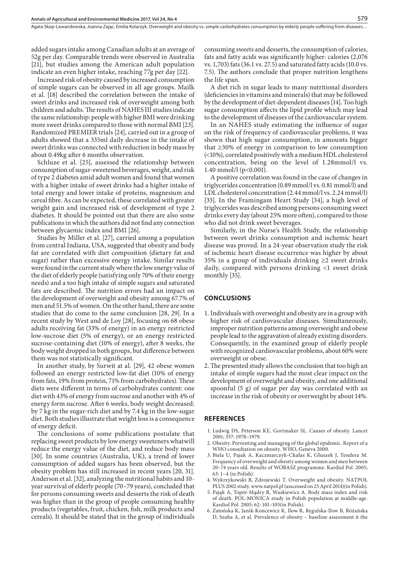added sugars intake among Canadian adults at an average of 52g per day. Comparable trends were observed in Australia [21], but studies among the American adult population indicate an even higher intake, reaching 77g per day [22].

Increased risk of obesity caused by increased consumption of simple sugars can be observed in all age groups. Mailk et al. [18] described the correlation between the intake of sweet drinks and increased risk of overweight among both children and adults. The results of NAHES III studies indicate the same relationship: people with higher BMI were drinking more sweet drinks compared to those with normal BMI [23]. Randomized PREMIER trials [24], carried out in a group of adults showed that a 335ml daily decrease in the intake of sweet drinks was connected with reduction in body mass by about 0.49kg after 6 months observation.

Schluze et al. [25], assessed the relationship between consumption of sugar-sweetened beverages, weight, and risk of type 2 diabetes amid adult women and found that women with a higher intake of sweet drinks had a higher intake of total energy and lower intake of proteins, magnesium and cereal fibre. As can be expected, these correlated with greater weight gain and increased risk of development of type 2 diabetes. It should be pointed out that there are also some publications in which the authors did not find any connection between glycaemic index and BMI [26].

Studies by Miller et al. [27], carried among a population from central Indiana, USA, suggested that obesity and body fat are correlated with diet composition (dietary fat and sugar) rather than excessive energy intake. Similar results were found in the current study where the low energy value of the diet of elderly people (satisfying only 70% of their energy needs) and a too high intake of simple sugars and saturated fats are described. The nutrition errors had an impact on the development of overweight and obesity among 67.7% of men and 51.5% of women. On the other hand, there are some studies that do come to the same conclusion [28, 29]. In a recent study by West and de Loy [28], focusing on 68 obese adults receiving fat (33% of energy) in an energy restricted low-sucrose diet (5% of energy), or an energy restricted sucrose-containing diet (10% of energy), after 8 weeks, the body weight dropped in both groups, but difference between them was not statistically significant.

In another study, by Surwit at al. [29], 42 obese women followed an energy restricted low-fat diet (10% of energy from fats, 19% from protein, 71% from carbohydrates). These diets were different in terms of carbohydrates content: one diet with 43% of energy from sucrose and another with 4% of energy form sucrose. After 6 weeks, body weight decreased: by 7 kg in the sugar-rich diet and by 7.4 kg in the low-sugar diet. Both studies illustrate that weight loss is a consequence of energy deficit.

The conclusions of some publications postulate that replacing sweet products by low energy sweeteners whatwill reduce the energy value of the diet, and reduce body mass [30]. In some countries (Australia, UK), a trend of lower consumption of added sugars has been observed, but the obesity problem has still increased in recent years [20, 31]. Anderson et al. [32], analyzing the nutritional habits and 10 year survival of elderly people (70–79 years), concluded that for persons consuming sweets and desserts the risk of death was higher than in the group of people consuming healthy products (vegetables, fruit, chicken, fish, milk products and cereals). It should be stated that in the group of individuals

consuming sweets and desserts, the consumption of calories, fats and fatty acids was significantly higher: calories (2,076 vs. 1,703) fats (36.1 vs. 27.5) and saturated fatty acids (10.0 vs. 7.5). The authors conclude that proper nutrition lengthens the life span.

A diet rich in sugar leads to many nutritional disorders (deficiencies in vitamins and minerals) that may be followed by the development of diet-dependent diseases [14]. Too high sugar consumption affects the lipid profile which may lead to the development of diseases of the cardiovascular system.

In an NAHES study estimating the influence of sugar on the risk of frequency of cardiovascular problems, it was shown that high sugar consumption, in amounts bigger that ≥30% of energy in comparison to low consumption (<10%), correlated positively with a medium HDL cholesterol concentration, being on the level of 1.28mmol/l vs. 1.40 mmol/l (p<0.001).

A positive correlation was found in the case of changes in triglycerides concentration (0.89 mmol/l vs. 0.81 mmol/l) and LDL cholesterol concentration (2.44 mmol/l vs. 2.24 mmol/l) [33]. In the Framingam Heart Study [34], a high level of triglycerides was described among persons consuming sweet drinks every day (about 25% more often), compared to those who did not drink sweet beverages.

Similarly, in the Nurse's Health Study, the relationship between sweet drinks consumption and ischemic heart disease was proved. In a 24-year observation study the risk of ischemic heart disease occurrence was higher by about 35% in a group of individuals drinking  $\geq 2$  sweet drinks daily, compared with persons drinking <1 sweet drink monthly [35].

#### **CONCLUSIONS**

- 1. Individuals with overweight and obesity are in a group with higher risk of cardiovascular diseases. Simultaneously, improper nutrition patterns among overweight and obese people lead to the aggravation of already existing disorders. Consequently, in the examined group of elderly people with recognized cardiovascular problems, about 60% were overweight or obese.
- 2.The presented study allows the conclusion that too high an intake of simple sugars had the most clear impact on the development of overweight and obesity, and one additional spoonful (5 g) of sugar per day was correlated with an increase in the risk of obesity or overweight by about 14%.

#### **REFERENCES**

- 1. Ludwig DS, Peterson KE, Gortmaker SL. Causes of obesity. Lancet 2001; 357: 1978–1979.
- 2. Obesity. Preventing and managing of the global epidemic. Report of a WHO consultation on obesity. WHO, Geneva 2000.
- 3. Biela U, Pajak A, Kaczmarczyk-Chałas K, Głuszek J, Tendera M. Frequency of overweight and obesity among women and men between 20–74 years old. Results of WOBASZ programme. Kardiol Pol. 2005; 63: 1–4 (in Polish).
- 4. Wykrzykowski B, Zdrojewski T. Overweight and obesity. NATPOL PLUS 2002 study. [www.natpol.pl](http://www.natpol.pl/) (asscessed on 25 April 2014)(in Polish).
- 5. Pająk A, Topór-Mądry R, Waskiewicz A. Body mass index and risk of death. POL-MONICA study in Polish population at middle-age. Kardiol Pol. 2005; 62: 101–105(in Polish).
- 6. Zatońska K, Janik-Koncewicz K, Ilow R, Regulska-Ilow B, Różańska D, Szuba A, et al. Prevalence of obesity – baseline assessment it the